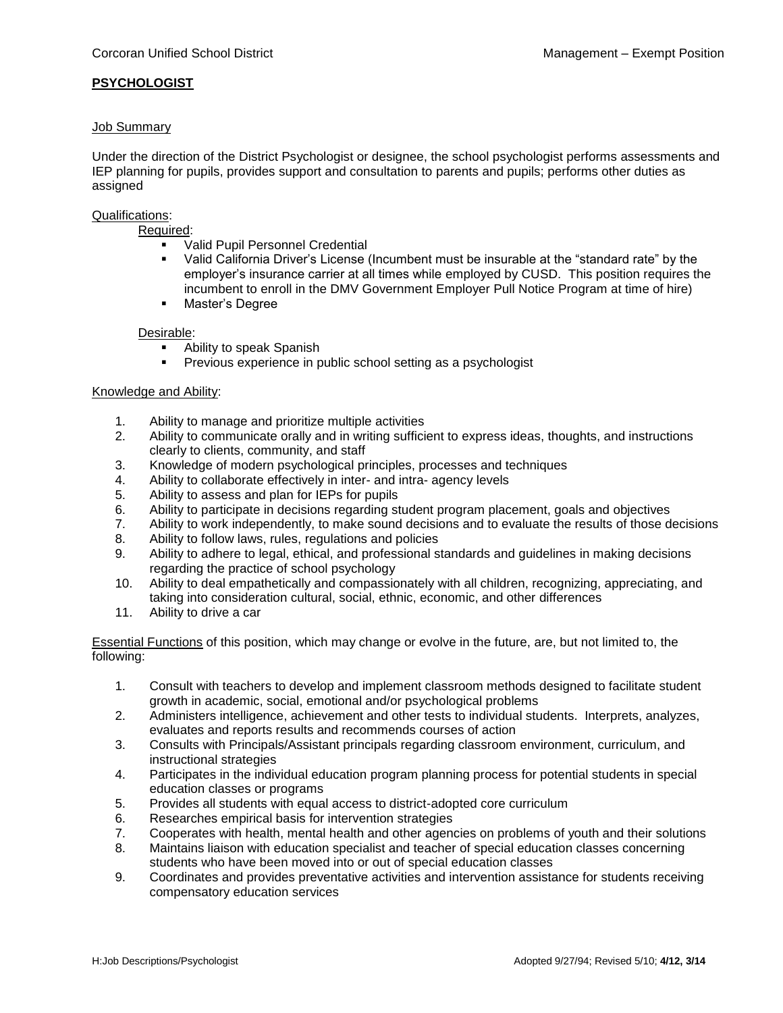# **PSYCHOLOGIST**

### Job Summary

Under the direction of the District Psychologist or designee, the school psychologist performs assessments and IEP planning for pupils, provides support and consultation to parents and pupils; performs other duties as assigned

### Qualifications:

Required:

- Valid Pupil Personnel Credential
- Valid California Driver's License (Incumbent must be insurable at the "standard rate" by the employer's insurance carrier at all times while employed by CUSD. This position requires the incumbent to enroll in the DMV Government Employer Pull Notice Program at time of hire)
- **Master's Degree**

#### Desirable:

- Ability to speak Spanish
- Previous experience in public school setting as a psychologist

### Knowledge and Ability:

- 1. Ability to manage and prioritize multiple activities
- 2. Ability to communicate orally and in writing sufficient to express ideas, thoughts, and instructions clearly to clients, community, and staff
- 3. Knowledge of modern psychological principles, processes and techniques
- 4. Ability to collaborate effectively in inter- and intra- agency levels
- 5. Ability to assess and plan for IEPs for pupils
- 6. Ability to participate in decisions regarding student program placement, goals and objectives
- 7. Ability to work independently, to make sound decisions and to evaluate the results of those decisions
- 8. Ability to follow laws, rules, regulations and policies
- 9. Ability to adhere to legal, ethical, and professional standards and guidelines in making decisions regarding the practice of school psychology
- 10. Ability to deal empathetically and compassionately with all children, recognizing, appreciating, and taking into consideration cultural, social, ethnic, economic, and other differences
- 11. Ability to drive a car

Essential Functions of this position, which may change or evolve in the future, are, but not limited to, the following:

- 1. Consult with teachers to develop and implement classroom methods designed to facilitate student growth in academic, social, emotional and/or psychological problems
- 2. Administers intelligence, achievement and other tests to individual students. Interprets, analyzes, evaluates and reports results and recommends courses of action
- 3. Consults with Principals/Assistant principals regarding classroom environment, curriculum, and instructional strategies
- 4. Participates in the individual education program planning process for potential students in special education classes or programs
- 5. Provides all students with equal access to district-adopted core curriculum
- 6. Researches empirical basis for intervention strategies
- 7. Cooperates with health, mental health and other agencies on problems of youth and their solutions
- 8. Maintains liaison with education specialist and teacher of special education classes concerning students who have been moved into or out of special education classes
- 9. Coordinates and provides preventative activities and intervention assistance for students receiving compensatory education services